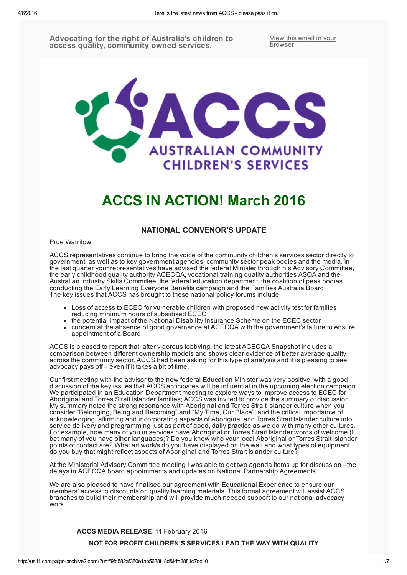Advocating for the right of Australia's children to access quality, community owned services.

View this email in your [browser](http://us11.campaign-archive2.com/*%7CDEFAULT:ARCHIVE%7C*)



# ACCS IN ACTION! March 2016

# NATIONAL CONVENOR'S UPDATE

## Prue Warrilow

ACCS representatives continue to bring the voice of the community children's services sector directly to government, as well as to key government agencies, community sector peak bodies and the media. In the last quarter your representatives have advised the federal Minister through his Advisory Committee, the early childhood quality authority ACECQA, vocational training quality authorities ASQA and the Australian Industry Skills Committee, the federal education department, the coalition of peak bodies conducting the Early Learning Everyone Benefits campaign and the Families Australia Board. The key issues that ACCS has brought to these national policy forums include:

- Loss of access to ECEC for vulnerable children with proposed new activity test for families reducing minimum hours of subsidised ECEC
- the potential impact of the National Disability Insurance Scheme on the ECEC sector  $\bullet$
- concern at the absence of good governance at ACECQA with the government's failure to ensure appointment of a Board.

ACCS is pleased to report that, after vigorous lobbying, the latest ACECQA Snapshot includes a comparison between different ownership models and shows clear evidence of better average quality across the community sector. ACCS had been asking for this type of analysis and it is pleasing to see advocacy pays off  $-$  even if it takes a bit of time.

Our first meeting with the advisor to the new federal Education Minister was very positive, with a good discussion of the key issues that ACCS anticipates will be influential in the upcoming election campaign. We participated in an Education Department meeting to explore ways to improve access to ECEC for Aboriginal and Torres Strait Islander families; ACCS was invited to provide the summary of discussion. My summary noted the strong resonance with Aboriginal and Torres Strait Islander culture when you consider "Belonging, Being and Becoming" and "My Time, Our Place"; and the critical importance of acknowledging, affirming and incorporating aspects of Aboriginal and Torres Strait Islander culture into service delivery and programming just as part of good, daily practice as we do with many other cultures. For example, how many of you in services have Aboriginal or Torres Strait Islander words of welcome (I bet many of you have other languages)? Do you know who your local Aboriginal or Torres Strait Islander points of contact are? What art work/s do you have displayed on the wall and what types of equipment do you buy that might reflect aspects of Aboriginal and Torres Strait Islander culture?

At the Ministerial Advisory Committee meeting I was able to get two agenda items up for discussion –the delays in ACECQA board appointments and updates on National Partnership Agreements.

We are also pleased to have finalised our agreement with Educational Experience to ensure our members' access to discounts on quality learning materials. This formal agreement will assist ACCS branches to build their membership and will provide much needed support to our national advocacy work.

# ACCS MEDIA RELEASE 11 February 2016

# NOT FOR PROFIT CHILDREN'S SERVICES LEAD THE WAY WITH QUALITY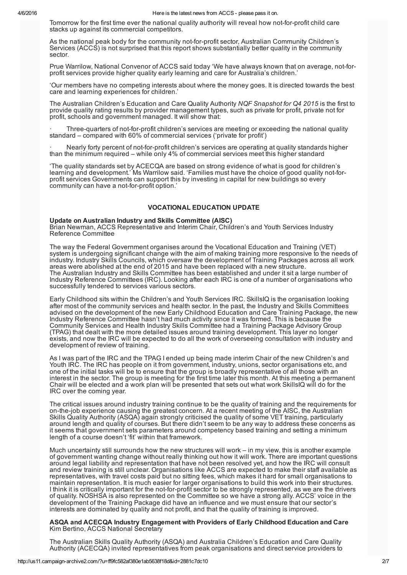Tomorrow for the first time ever the national quality authority will reveal how not-for-profit child care stacks up against its commercial competitors.

As the national peak body for the community not-for-profit sector, Australian Community Children's Services (ACCS) is not surprised that this report shows substantially better quality in the community sector.

Prue Warrilow, National Convenor of ACCS said today 'We have always known that on average, not-forprofit services provide higher quality early learning and care for Australia's children.'

'Our members have no competing interests about where the money goes. It is directed towards the best care and learning experiences for children.'

The Australian Children's Education and Care Quality Authority *NQF Snapshot for Q4 2015* is the first to provide quality rating results by provider management types, such as private for profit, private not for profit, schools and government managed. It will show that:

Three-quarters of not-for-profit children's services are meeting or exceeding the national quality standard – compared with 60% of commercial services ('private for profit')

Nearly forty percent of not-for-profit children's services are operating at quality standards higher than the minimum required – while only 4% of commercial services meet this higher standard

'The quality standards set by ACECQA are based on strong evidence of what is good for children's learning and development.' Ms Warrilow said. 'Families must have the choice of good quality not-forprofit services Governments can support this by investing in capital for new buildings so every community can have a not-for-profit option.'

# VOCATIONAL EDUCATION UPDATE

### Update on Australian Industry and Skills Committee (AISC)

Brian Newman, ACCS Representative and Interim Chair, Children's and Youth Services Industry Reference Committee

The way the Federal Government organises around the Vocational Education and Training (VET) system is undergoing significant change with the aim of making training more responsive to the needs of industry. Industry Skills Councils, which oversaw the development of Training Packages across all work areas were abolished at the end of 2015 and have been replaced with a new structure. The Australian Industry and Skills Committee has been established and under it sit a large number of Industry Reference Committees (IRC). Looking after each IRC is one of a number of organisations who successfully tendered to services various sectors.

Early Childhood sits within the Children's and Youth Services IRC. SkillsIQ is the organisation looking after most of the community services and health sector. In the past, the Industry and Skills Committees advised on the development of the new Early Childhood Education and Care Training Package, the new Industry Reference Committee hasn't had much activity since it was formed. This is because the Community Services and Health Industry Skills Committee had a Training Package Advisory Group (TPAG) that dealt with the more detailed issues around training development. This layer no longer exists, and now the IRC will be expected to do all the work of overseeing consultation with industry and development of review of training.

As I was part of the IRC and the TPAG I ended up being made interim Chair of the new Children's and Youth IRC. The IRC has people on it from government, industry, unions, sector organisations etc, and one of the initial tasks will be to ensure that the group is broadly representative of all those with an interest in the sector. The group is meeting for the first time later this month. At this meeting a permanent Chair will be elected and a work plan will be presented that sets out what work SkillsIQ will do for the IRC over the coming year.

The critical issues around industry training continue to be the quality of training and the requirements for on-the-job experience causing the greatest concern. At a recent meeting of the AISC, the Australian Skills Quality Authority (ASQA) again strongly criticised the quality of some VET training, particularly around length and quality of courses. But there didn't seem to be any way to address these concerns as it seems that government sets parameters around competency based training and setting a minimum length of a course doesn't 'fit' within that framework.

Much uncertainty still surrounds how the new structures will work – in my view, this is another example of government wanting change without really thinking out how it will work. There are important questions around legal liability and representation that have not been resolved yet, and how the IRC will consult and review training is still unclear. Organisations like ACCS are expected to make their staff available as representatives, with travel costs paid but no sitting fees, which makes it hard for small organisations to maintain representation. It is much easier for larger organisations to build this work into their structures. I think it is critically important for the not-for-profit sector to be strongly represented, as we are the drivers of quality. NOSHSA is also represented on the Committee so we have a strong ally. ACCS' voice in the development of the Training Package did have an influence and we must ensure that our sector's interests are dominated by quality and not profit, and that the quality of training is improved.

ASQA and ACECQA Industry Engagement with Providers of Early Childhood Education and Care Kim Bertino, ACCS National Secretary

The Australian Skills Quality Authority (ASQA) and Australia Children's Education and Care Quality Authority (ACECQA) invited representatives from peak organisations and direct service providers to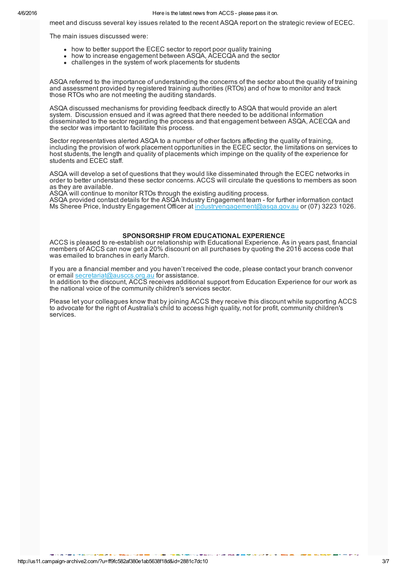#### 4/6/2016 Here is the latest news from ACCS please pass it on.

meet and discuss several key issues related to the recent ASQA report on the strategic review of ECEC.

The main issues discussed were:

- how to better support the ECEC sector to report poor quality training
- how to increase engagement between ASQA, ACECQA and the sector
- challenges in the system of work placements for students

ASQA referred to the importance of understanding the concerns of the sector about the quality of training and assessment provided by registered training authorities (RTOs) and of how to monitor and track those RTOs who are not meeting the auditing standards.

ASQA discussed mechanisms for providing feedback directly to ASQA that would provide an alert system. Discussion ensued and it was agreed that there needed to be additional information disseminated to the sector regarding the process and that engagement between ASQA, ACECQA and the sector was important to facilitate this process.

Sector representatives alerted ASQA to a number of other factors affecting the quality of training, including the provision of work placement opportunities in the ECEC sector, the limitations on services to host students, the length and quality of placements which impinge on the quality of the experience for students and ECEC staff.

ASQA will develop a set of questions that they would like disseminated through the ECEC networks in order to better understand these sector concerns. ACCS will circulate the questions to members as soon as they are available.

ASQA will continue to monitor RTOs through the existing auditing process.

ASQA provided contact details for the ASQA Industry Engagement team for further information contact Ms Sheree Price, Industry Engagement Officer at [industryengagement@asqa.gov.au](mailto:industryengagement@asqa.gov.au) or (07) 3223 1026.

# SPONSORSHIP FROM EDUCATIONAL EXPERIENCE

ACCS is pleased to re-establish our relationship with Educational Experience. As in years past, financial members of ACCS can now get a 20% discount on all purchases by quoting the 2016 access code that was emailed to branches in early March.

If you are a financial member and you haven't received the code, please contact your branch convenor or email [secretariat@ausccs.org.au](mailto:secretariat@ausccs.org.au) for assistance.

In addition to the discount, ACCS receives additional support from Education Experience for our work as the national voice of the community children's services sector.

Please let your colleagues know that by joining ACCS they receive this discount while supporting ACCS to advocate for the right of Australia's child to access high quality, not for profit, community children's services.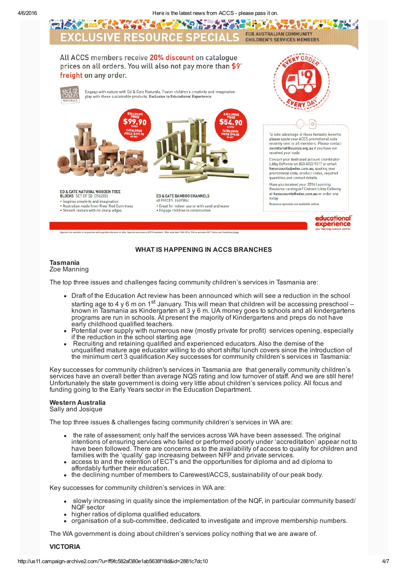

All ACCS members receive 20% discount on catalogue prices on all orders. You will also not pay more than \$9\* freight on any order.



Engage with nature with Ed & Cate Naturals. Foster children's creativity and imaginative play with these sustainable products. Exclusive to Educational Experience.



ED & CATE NATURAL WOODEN TREE<br>BLOCKS SET OF 50 (396200) · Inspires creativity and imagination

- . Australian made from River Red Gum trees
- · Smooth texture with no sharp edges

ED & CATE BAMBOO CHANNELS 40 PIECES (449584) . Great for indoor use or with sand and water · Engage children in construction

 $\omega$ To take advantage of these fantastic benefits please quote your ACCS promotional code recently sent to all members. Please contact<br>secretariat@ausccs.org.au if you have not

 $990v$ 

received your code. Contact your dedicated account coordinator Libby DeVenny on (02) 4923 9217 or email<br>keyaccounts@edex.com.au, quoting your<br>promotional code, product codes, required

quantities and contact details. Have you received your 2016 Learning

Resource catalogue? Contact Libby DeVenny<br>at keyaccounts@edex.com.au or order one today

Resource specials not available online

educational experience

s<br>we to ACCS members. Offer ends April 29th 2016. \*Price atc

# WHAT IS HAPPENING IN ACCS BRANCHES

#### Tasmania Zoe Manning

The top three issues and challenges facing community children's services in Tasmania are:

- Draft of the Education Act review has been announced which will see a reduction in the school starting age to 4 y 6 m on 1<sup>st</sup> January. This will mean that children will be accessing preschool – known in Tasmania as Kindergarten at 3 y 6 m. UA money goes to schools and all kindergartens programs are run in schools. At present the majority of Kindergartens and preps do not have early childhood qualified teachers.
- Potential over supply with numerous new (mostly private for profit) services opening, especially  $\bullet$ if the reduction in the school starting age
- Recruiting and retaining qualified and experienced educators. Also the demise of the unqualified mature age educator willing to do short shifts/ lunch covers since the introduction of the minimum cert 3 qualification.Key successes for community children's services in Tasmania:

Key successes for community children's services in Tasmania are that generally community children's services have an overall better than average NQS rating and low turnover of staff. And we are still here! Unfortunately the state government is doing very little about children's services policy. All focus and funding going to the Early Years sector in the Education Department.

# Western Australia

Sally and Josique

The top three issues & challenges facing community children's services in WA are:

- the rate of assessment; only half the services across WA have been assessed. The original intentions of ensuring services who failed or performed poorly under 'accreditation' appear not to have been followed. There are concerns as to the availability of access to quality for children and families with the 'quality' gap increasing between NFP and private services.
- access to and the retention of ECT's and the opportunities for diploma and ad diploma to affordably further their education.
- the declining number of members to Carewest/ACCS, sustainability of our peak body.

Key successes for community children's services in WA are:

- slowly increasing in quality since the implementation of the NQF, in particular community based/ NQF sector
- higher ratios of diploma qualified educators.
- organisation of a sub-committee, dedicated to investigate and improve membership numbers.

The WA government is doing about children's services policy nothing that we are aware of.

# VICTORIA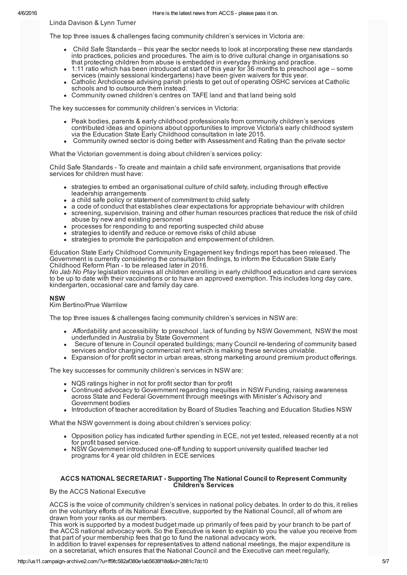Linda Davison & Lynn Turner

The top three issues & challenges facing community children's services in Victoria are:

- Child Safe Standards this year the sector needs to look at incorporating these new standards into practices, policies and procedures. The aim is to drive cultural change in organisations so that protecting children from abuse is embedded in everyday thinking and practice.
- 1:11 ratio which has been introduced at start of this year for 36 months to preschool age some services (mainly sessional kindergartens) have been given waivers for this year.
- Catholic Archdiocese advising parish priests to get out of operating OSHC services at Catholic schools and to outsource them instead.
- Community owned children's centres on TAFE land and that land being sold

The key successes for community children's services in Victoria:

- Peak bodies, parents & early childhood professionals from community children's services contributed ideas and opinions about opportunities to improve Victoria's early childhood system via the Education State Early Childhood consultation in late 2015.
- Community owned sector is doing better with Assessment and Rating than the private sector

What the Victorian government is doing about children's services policy:

Child Safe Standards - To create and maintain a child safe environment, organisations that provide services for children must have:

- strategies to embed an organisational culture of child safety, including through effective leadership arrangements
- a child safe policy or statement of commitment to child safety
- a code of conduct that establishes clear expectations for appropriate behaviour with children
- screening, supervision, training and other human resources practices that reduce the risk of child abuse by new and existing personnel
- processes for responding to and reporting suspected child abuse
- strategies to identify and reduce or remove risks of child abuse
- strategies to promote the participation and empowerment of children.

Education State Early Childhood Community Engagement key findings report has been released. The Government is currently considering the consultation findings, to inform the Education State Early Childhood Reform Plan - to be released later in 2016.

*No Jab No Play* legislation requires all children enrolling in early childhood education and care services to be up to date with their vaccinations or to have an approved exemption. This includes long day care, kindergarten, occasional care and family day care.

# NSW

Kim Bertino/Prue Warrilow

The top three issues & challenges facing community children's services in NSW are:

- Affordability and accessibility to preschool , lack of funding by NSW Government, NSW the most underfunded in Australia by State Government
- Secure of tenure in Council operated buildings; many Council re-tendering of community based services and/or charging commercial rent which is making these services unviable.
- Expansion of for profit sector in urban areas, strong marketing around premium product offerings.

The key successes for community children's services in NSW are:

- NQS ratings higher in not for profit sector than for profit
- Continued advocacy to Government regarding inequities in NSW Funding, raising awareness across State and Federal Government through meetings with Minister's Advisory and Government bodies
- Introduction of teacher accreditation by Board of Studies Teaching and Education Studies NSW

What the NSW government is doing about children's services policy:

- Opposition policy has indicated further spending in ECE, not yet tested, released recently at a not for profit based service.
- NSW Government introduced one-off funding to support university qualified teacher led programs for 4 year old children in ECE services

# ACCS NATIONAL SECRETARIAT - Supporting The National Council to Represent Community Children's Services

By the ACCS National Executive

ACCS is the voice of community children's services in national policy debates. In order to do this, it relies on the voluntary efforts of its National Executive, supported by the National Council, all of whom are drawn from your ranks as our members.

This work is supported by a modest budget made up primarily of fees paid by your branch to be part of the ACCS national advocacy work. So the Executive is keen to explain to you the value you receive from that part of your membership fees that go to fund the national advocacy work.

In addition to travel expenses for representatives to attend national meetings, the major expenditure is on a secretariat, which ensures that the National Council and the Executive can meet regularly,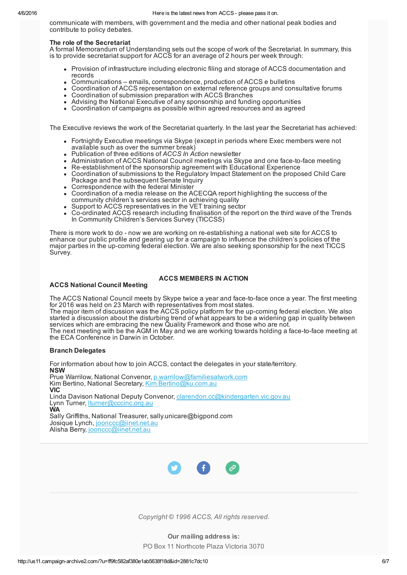communicate with members, with government and the media and other national peak bodies and contribute to policy debates.

## The role of the Secretariat

A formal Memorandum of Understanding sets out the scope of work of the Secretariat. In summary, this is to provide secretariat support for ACCS for an average of 2 hours per week through:

- Provision of infrastructure including electronic filing and storage of ACCS documentation and records
- Communications emails, correspondence, production of ACCS e bulletins
- Coordination of ACCS representation on external reference groups and consultative forums
- Coordination of submission preparation with ACCS Branches
- Advising the National Executive of any sponsorship and funding opportunities
- Coordination of campaigns as possible within agreed resources and as agreed

The Executive reviews the work of the Secretariat quarterly. In the last year the Secretariat has achieved:

- Fortnightly Executive meetings via Skype (except in periods where Exec members were not available such as over the summer break)
- Publication of three editions of *ACCS In Action* newsletter
- Administration of ACCS National Council meetings via Skype and one face-to-face meeting
- Re-establishment of the sponsorship agreement with Educational Experience
- Coordination of submissions to the Regulatory Impact Statement on the proposed Child Care Package and the subsequent Senate Inquiry
- Correspondence with the federal Minister
- Coordination of a media release on the ACECQA report highlighting the success of the community children's services sector in achieving quality
- Support to ACCS representatives in the VET training sector
- Co-ordinated ACCS research including finalisation of the report on the third wave of the Trends  $\bullet$ In Community Children's Services Survey (TICCSS)

There is more work to do - now we are working on re-establishing a national web site for ACCS to enhance our public profile and gearing up for a campaign to influence the children's policies of the major parties in the up-coming federal election. We are also seeking sponsorship for the next TICCS Survey.

# ACCS National Council Meeting

# ACCS MEMBERS IN ACTION

The ACCS National Council meets by Skype twice a year and face-to-face once a year. The first meeting for 2016 was held on 23 March with representatives from most states.

The major item of discussion was the ACCS policy platform for the up-coming federal election. We also started a discussion about the disturbing trend of what appears to be a widening gap in quality between services which are embracing the new Quality Framework and those who are not.

The next meeting with be the AGM in May and we are working towards holding a face-to-face meeting at the ECA Conference in Darwin in October.

# Branch Delegates

For information about how to join ACCS, contact the delegates in your state/territory. NSW

Prue Warrilow, National Convenor, [p.warrilow@familiesatwork.com](mailto:p.warrilow@familiesatwork.com) Kim Bertino, National Secretary, [Kim.Bertino@ku.com.au](mailto:Kim.Bertino@ku.com.au) **VIC** 

Linda Davison National Deputy Convenor, [clarendon.cc@kindergarten.vic.gov.au](mailto:clarendon.cc@kindergarten.vic.gov.au) Lynn Turner, [lturner@cccinc.org.au](mailto:lturner@cccinc.org.au) WA

Sally Griffiths, National Treasurer, sally.unicare@bigpond.com Josique Lynch, [joonccc@iinet.net.au](mailto:joonccc@iinet.net.au) Alisha Berry, [joonccc@iinet.net.au](mailto:joonccc@iinet.net.au)



*Copyright © 1996 ACCS, All rights reserved.*

Our mailing address is: PO Box 11 Northcote Plaza Victoria 3070